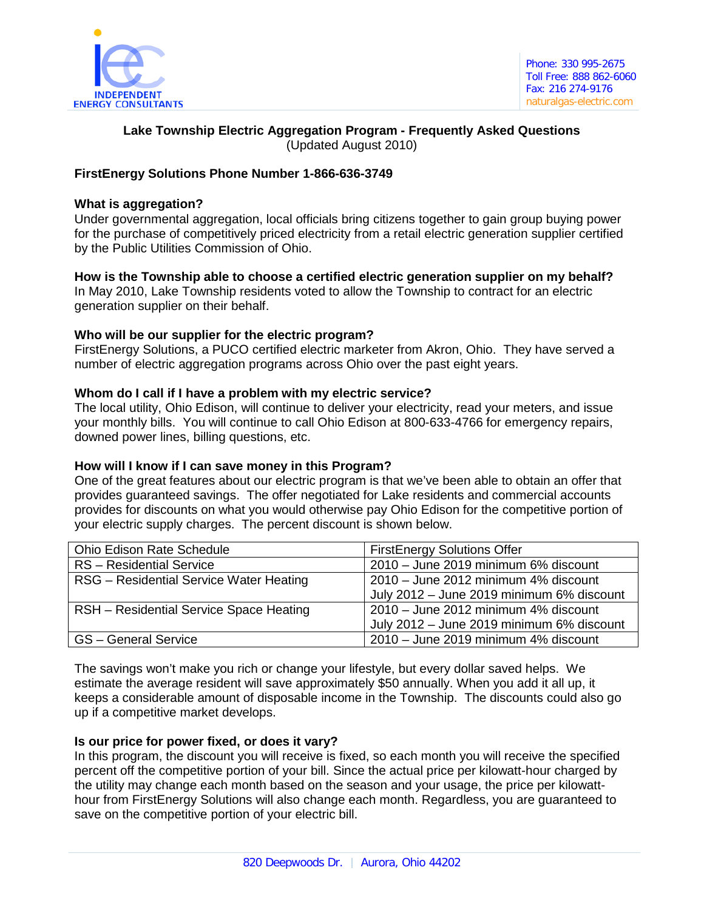

# **Lake Township Electric Aggregation Program - Frequently Asked Questions** (Updated August 2010)

## **FirstEnergy Solutions Phone Number 1-866-636-3749**

## **What is aggregation?**

Under governmental aggregation, local officials bring citizens together to gain group buying power for the purchase of competitively priced electricity from a retail electric generation supplier certified by the Public Utilities Commission of Ohio.

**How is the Township able to choose a certified electric generation supplier on my behalf?**  In May 2010, Lake Township residents voted to allow the Township to contract for an electric generation supplier on their behalf.

## **Who will be our supplier for the electric program?**

FirstEnergy Solutions, a PUCO certified electric marketer from Akron, Ohio. They have served a number of electric aggregation programs across Ohio over the past eight years.

## **Whom do I call if I have a problem with my electric service?**

The local utility, Ohio Edison, will continue to deliver your electricity, read your meters, and issue your monthly bills. You will continue to call Ohio Edison at 800-633-4766 for emergency repairs, downed power lines, billing questions, etc.

#### **How will I know if I can save money in this Program?**

One of the great features about our electric program is that we've been able to obtain an offer that provides guaranteed savings. The offer negotiated for Lake residents and commercial accounts provides for discounts on what you would otherwise pay Ohio Edison for the competitive portion of your electric supply charges. The percent discount is shown below.

| <b>Ohio Edison Rate Schedule</b>        | <b>FirstEnergy Solutions Offer</b>        |
|-----------------------------------------|-------------------------------------------|
| <b>RS</b> - Residential Service         | 2010 - June 2019 minimum 6% discount      |
| RSG - Residential Service Water Heating | 2010 - June 2012 minimum 4% discount      |
|                                         | July 2012 - June 2019 minimum 6% discount |
| RSH - Residential Service Space Heating | 2010 - June 2012 minimum 4% discount      |
|                                         | July 2012 - June 2019 minimum 6% discount |
| <b>GS</b> - General Service             | 2010 - June 2019 minimum 4% discount      |

The savings won't make you rich or change your lifestyle, but every dollar saved helps. We estimate the average resident will save approximately \$50 annually. When you add it all up, it keeps a considerable amount of disposable income in the Township. The discounts could also go up if a competitive market develops.

#### **Is our price for power fixed, or does it vary?**

In this program, the discount you will receive is fixed, so each month you will receive the specified percent off the competitive portion of your bill. Since the actual price per kilowatt-hour charged by the utility may change each month based on the season and your usage, the price per kilowatthour from FirstEnergy Solutions will also change each month. Regardless, you are guaranteed to save on the competitive portion of your electric bill.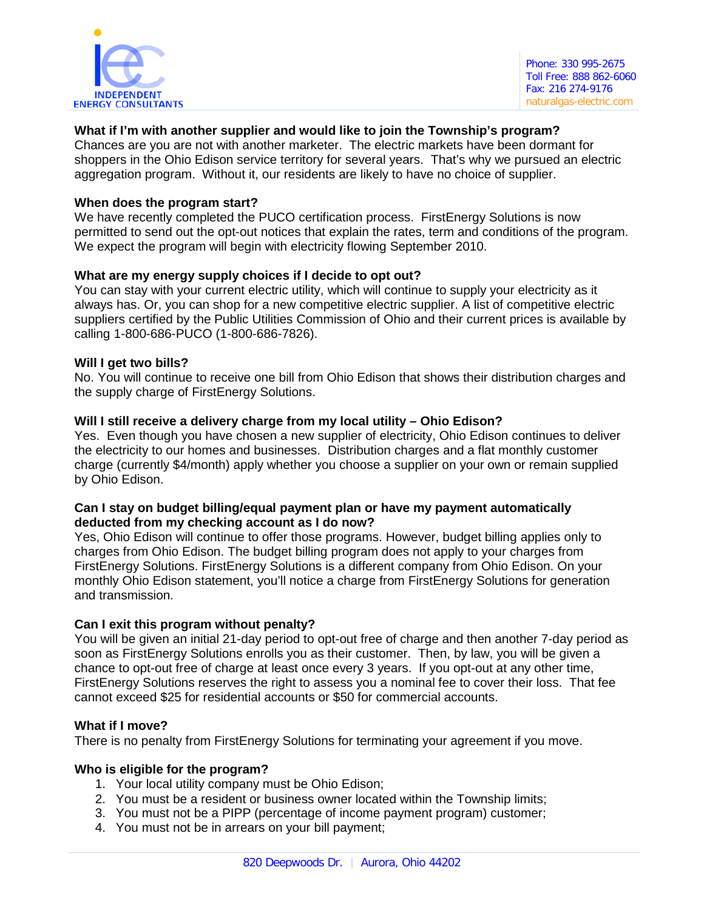

## **What if I'm with another supplier and would like to join the Township's program?**

Chances are you are not with another marketer. The electric markets have been dormant for shoppers in the Ohio Edison service territory for several years. That's why we pursued an electric aggregation program. Without it, our residents are likely to have no choice of supplier.

### **When does the program start?**

We have recently completed the PUCO certification process. FirstEnergy Solutions is now permitted to send out the opt-out notices that explain the rates, term and conditions of the program. We expect the program will begin with electricity flowing September 2010.

## **What are my energy supply choices if I decide to opt out?**

You can stay with your current electric utility, which will continue to supply your electricity as it always has. Or, you can shop for a new competitive electric supplier. A list of competitive electric suppliers certified by the Public Utilities Commission of Ohio and their current prices is available by calling 1-800-686-PUCO (1-800-686-7826).

## **Will I get two bills?**

No. You will continue to receive one bill from Ohio Edison that shows their distribution charges and the supply charge of FirstEnergy Solutions.

## **Will I still receive a delivery charge from my local utility – Ohio Edison?**

Yes. Even though you have chosen a new supplier of electricity, Ohio Edison continues to deliver the electricity to our homes and businesses. Distribution charges and a flat monthly customer charge (currently \$4/month) apply whether you choose a supplier on your own or remain supplied by Ohio Edison.

#### **Can I stay on budget billing/equal payment plan or have my payment automatically deducted from my checking account as I do now?**

Yes, Ohio Edison will continue to offer those programs. However, budget billing applies only to charges from Ohio Edison. The budget billing program does not apply to your charges from FirstEnergy Solutions. FirstEnergy Solutions is a different company from Ohio Edison. On your monthly Ohio Edison statement, you'll notice a charge from FirstEnergy Solutions for generation and transmission.

#### **Can I exit this program without penalty?**

You will be given an initial 21-day period to opt-out free of charge and then another 7-day period as soon as FirstEnergy Solutions enrolls you as their customer. Then, by law, you will be given a chance to opt-out free of charge at least once every 3 years. If you opt-out at any other time, FirstEnergy Solutions reserves the right to assess you a nominal fee to cover their loss. That fee cannot exceed \$25 for residential accounts or \$50 for commercial accounts.

#### **What if I move?**

There is no penalty from FirstEnergy Solutions for terminating your agreement if you move.

#### **Who is eligible for the program?**

- 1. Your local utility company must be Ohio Edison;
- 2. You must be a resident or business owner located within the Township limits;
- 3. You must not be a PIPP (percentage of income payment program) customer;
- 4. You must not be in arrears on your bill payment;